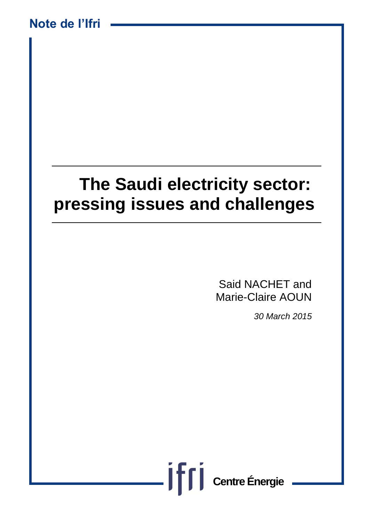| Note de l'Ifri |  |  |
|----------------|--|--|
|----------------|--|--|

# **The Saudi electricity sector: pressing issues and challenges**

Said NACHET and Marie-Claire AOUN

*30 March 2015*

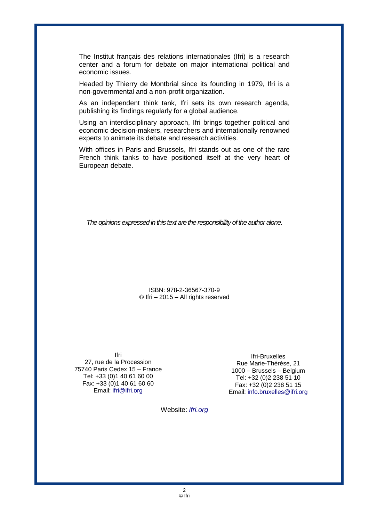The Institut français des relations internationales (Ifri) is a research center and a forum for debate on major international political and economic issues.

Headed by Thierry de Montbrial since its founding in 1979, Ifri is a non-governmental and a non-profit organization.

As an independent think tank, Ifri sets its own research agenda, publishing its findings regularly for a global audience.

Using an interdisciplinary approach, Ifri brings together political and economic decision-makers, researchers and internationally renowned experts to animate its debate and research activities.

With offices in Paris and Brussels, Ifri stands out as one of the rare French think tanks to have positioned itself at the very heart of European debate.

*The opinions expressed in this text are the responsibility of the author alone.*

ISBN: 978-2-36567-370-9 © Ifri – 2015 – All rights reserved

Ifri 27, rue de la Procession 75740 Paris Cedex 15 – France Tel: +33 (0)1 40 61 60 00 Fax: +33 (0)1 40 61 60 60 Email: [ifri@ifri.org](mailto:ifri@ifri.org)

Ifri-Bruxelles Rue Marie-Thérèse, 21 1000 – Brussels – Belgium Tel: +32 (0)2 238 51 10 Fax: +32 (0) 2 238 51 15 Email: [info.bruxelles@ifri.org](mailto:info.bruxelles@ifri.org)

Website: *ifri.org*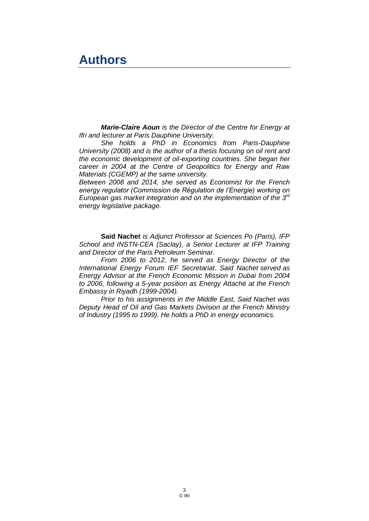## **Authors**

*Marie-Claire Aoun is the Director of the Centre for Energy at Ifri and lecturer at Paris Dauphine University.*

*She holds a PhD in Economics from Paris-Dauphine University (2008) and is the author of a thesis focusing on oil rent and the economic development of oil-exporting countries. She began her career in 2004 at the Centre of Geopolitics for Energy and Raw Materials (CGEMP) at the same university.* 

*Between 2008 and 2014, she served as Economist for the French energy regulator (Commission de Régulation de l'Energie) working on European gas market integration and on the implementation of the 3rd energy legislative package.* 

**Said Nachet** *is Adjunct Professor at Sciences Po (Paris), IFP School and INSTN-CEA (Saclay), a Senior Lecturer at IFP Training and Director of the Paris Petroleum Seminar.* 

*From 2006 to 2012, he served as Energy Director of the International Energy Forum IEF Secretariat. Said Nachet served as Energy Advisor at the French Economic Mission in Dubai from 2004 to 2006, following a 5-year position as Energy Attaché at the French Embassy in Riyadh (1999-2004).* 

*Prior to his assignments in the Middle East, Said Nachet was Deputy Head of Oil and Gas Markets Division at the French Ministry of Industry (1995 to 1999). He holds a PhD in energy economics.*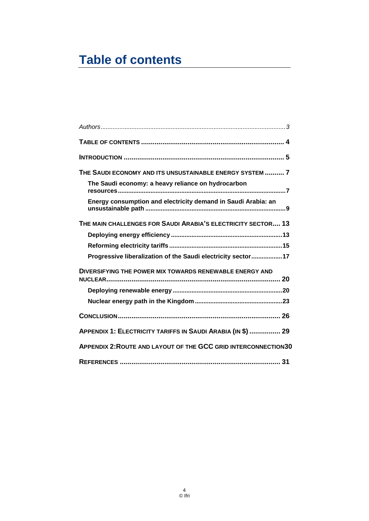## <span id="page-3-0"></span>**Table of contents**

| THE SAUDI ECONOMY AND ITS UNSUSTAINABLE ENERGY SYSTEM  7              |
|-----------------------------------------------------------------------|
| The Saudi economy: a heavy reliance on hydrocarbon                    |
| Energy consumption and electricity demand in Saudi Arabia: an         |
| THE MAIN CHALLENGES FOR SAUDI ARABIA'S ELECTRICITY SECTOR 13          |
|                                                                       |
|                                                                       |
| Progressive liberalization of the Saudi electricity sector17          |
| <b>DIVERSIFYING THE POWER MIX TOWARDS RENEWABLE ENERGY AND</b>        |
|                                                                       |
|                                                                       |
|                                                                       |
| APPENDIX 1: ELECTRICITY TARIFFS IN SAUDI ARABIA (IN \$)  29           |
| <b>APPENDIX 2: ROUTE AND LAYOUT OF THE GCC GRID INTERCONNECTION30</b> |
|                                                                       |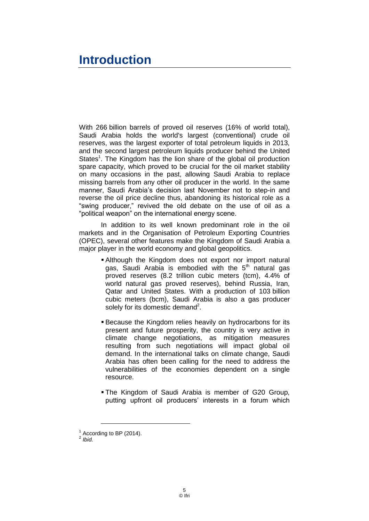## <span id="page-4-0"></span>**Introduction**

With 266 billion barrels of proved oil reserves (16% of world total), Saudi Arabia holds the world's largest (conventional) crude oil reserves, was the largest exporter of total petroleum liquids in 2013, and the second largest petroleum liquids producer behind the United States<sup>1</sup>. The Kingdom has the lion share of the global oil production spare capacity, which proved to be crucial for the oil market stability on many occasions in the past, allowing Saudi Arabia to replace missing barrels from any other oil producer in the world. In the same manner, Saudi Arabia's decision last November not to step-in and reverse the oil price decline thus, abandoning its historical role as a "swing producer," revived the old debate on the use of oil as a "political weapon" on the international energy scene.

In addition to its well known predominant role in the oil markets and in the Organisation of Petroleum Exporting Countries (OPEC), several other features make the Kingdom of Saudi Arabia a major player in the world economy and global geopolitics.

- Although the Kingdom does not export nor import natural gas, Saudi Arabia is embodied with the  $5<sup>th</sup>$  natural gas proved reserves (8.2 trillion cubic meters (tcm), 4.4% of world natural gas proved reserves), behind Russia, Iran, Qatar and United States. With a production of 103 billion cubic meters (bcm), Saudi Arabia is also a gas producer solely for its domestic demand<sup>2</sup>.
- Because the Kingdom relies heavily on hydrocarbons for its present and future prosperity, the country is very active in climate change negotiations, as mitigation measures resulting from such negotiations will impact global oil demand. In the international talks on climate change, Saudi Arabia has often been calling for the need to address the vulnerabilities of the economies dependent on a single resource.
- The Kingdom of Saudi Arabia is member of G20 Group, putting upfront oil producers' interests in a forum which

 $1$  According to BP (2014).

<sup>2</sup> *Ibid.*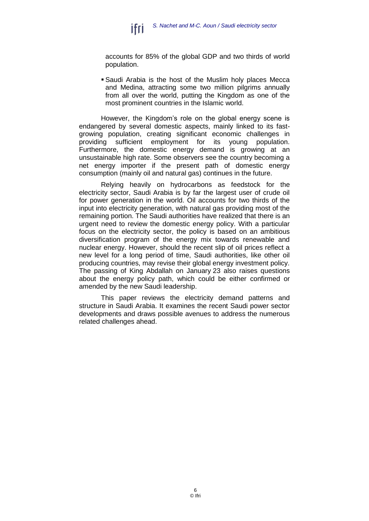

accounts for 85% of the global GDP and two thirds of world population.

 Saudi Arabia is the host of the Muslim holy places Mecca and Medina, attracting some two million pilgrims annually from all over the world, putting the Kingdom as one of the most prominent countries in the Islamic world.

However, the Kingdom's role on the global energy scene is endangered by several domestic aspects, mainly linked to its fastgrowing population, creating significant economic challenges in providing sufficient employment for its young population. Furthermore, the domestic energy demand is growing at an unsustainable high rate. Some observers see the country becoming a net energy importer if the present path of domestic energy consumption (mainly oil and natural gas) continues in the future.

Relying heavily on hydrocarbons as feedstock for the electricity sector, Saudi Arabia is by far the largest user of crude oil for power generation in the world. Oil accounts for two thirds of the input into electricity generation, with natural gas providing most of the remaining portion. The Saudi authorities have realized that there is an urgent need to review the domestic energy policy. With a particular focus on the electricity sector, the policy is based on an ambitious diversification program of the energy mix towards renewable and nuclear energy. However, should the recent slip of oil prices reflect a new level for a long period of time, Saudi authorities, like other oil producing countries, may revise their global energy investment policy. The passing of King Abdallah on January 23 also raises questions about the energy policy path, which could be either confirmed or amended by the new Saudi leadership.

This paper reviews the electricity demand patterns and structure in Saudi Arabia. It examines the recent Saudi power sector developments and draws possible avenues to address the numerous related challenges ahead.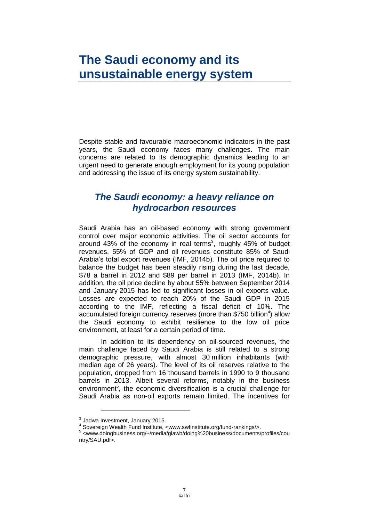## <span id="page-6-0"></span>**The Saudi economy and its unsustainable energy system**

Despite stable and favourable macroeconomic indicators in the past years, the Saudi economy faces many challenges. The main concerns are related to its demographic dynamics leading to an urgent need to generate enough employment for its young population and addressing the issue of its energy system sustainability.

### <span id="page-6-1"></span>*The Saudi economy: a heavy reliance on hydrocarbon resources*

Saudi Arabia has an oil-based economy with strong government control over major economic activities. The oil sector accounts for around 43% of the economy in real terms<sup>3</sup>, roughly 45% of budget revenues, 55% of GDP and oil revenues constitute 85% of Saudi Arabia's total export revenues (IMF, 2014b). The oil price required to balance the budget has been steadily rising during the last decade, \$78 a barrel in 2012 and \$89 per barrel in 2013 (IMF, 2014b). In addition, the oil price decline by about 55% between September 2014 and January 2015 has led to significant losses in oil exports value. Losses are expected to reach 20% of the Saudi GDP in 2015 according to the IMF, reflecting a fiscal deficit of 10%. The accumulated foreign currency reserves (more than \$750 billion<sup>4</sup>) allow the Saudi economy to exhibit resilience to the low oil price environment, at least for a certain period of time.

In addition to its dependency on oil-sourced revenues, the main challenge faced by Saudi Arabia is still related to a strong demographic pressure, with almost 30 million inhabitants (with median age of 26 years). The level of its oil reserves relative to the population, dropped from 16 thousand barrels in 1990 to 9 thousand barrels in 2013. Albeit several reforms, notably in the business environment<sup>5</sup>, the economic diversification is a crucial challenge for Saudi Arabia as non-oil exports remain limited. The incentives for

 $3$  Jadwa Investment, January 2015.

<sup>4</sup> Sovereign Wealth Fund Institute, [<www.swfinstitute.org/fund-rankings/>](http://www.swfinstitute.org/fund-rankings/).

<sup>5</sup> [<www.doingbusiness.org/~/media/giawb/doing%20business/documents/profiles/cou](http://www.doingbusiness.org/~/media/giawb/doing%20business/documents/profiles/country/SAU.pdf) [ntry/SAU.pdf>](http://www.doingbusiness.org/~/media/giawb/doing%20business/documents/profiles/country/SAU.pdf).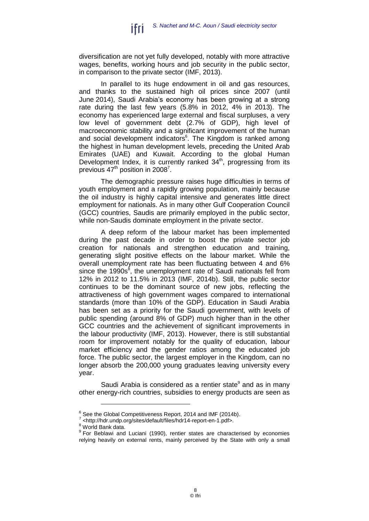diversification are not yet fully developed, notably with more attractive wages, benefits, working hours and job security in the public sector, in comparison to the private sector (IMF, 2013).

In parallel to its huge endowment in oil and gas resources, and thanks to the sustained high oil prices since 2007 (until June 2014), Saudi Arabia's economy has been growing at a strong rate during the last few years (5.8% in 2012, 4% in 2013). The economy has experienced large external and fiscal surpluses, a very low level of government debt (2.7% of GDP), high level of macroeconomic stability and a significant improvement of the human and social development indicators<sup>6</sup>. The Kingdom is ranked among the highest in human development levels, preceding the United Arab Emirates (UAE) and Kuwait. According to the global Human Development Index, it is currently ranked  $34<sup>th</sup>$ , progressing from its previous  $47<sup>th</sup>$  position in 2008<sup>7</sup>.

The demographic pressure raises huge difficulties in terms of youth employment and a rapidly growing population, mainly because the oil industry is highly capital intensive and generates little direct employment for nationals. As in many other Gulf Cooperation Council (GCC) countries, Saudis are primarily employed in the public sector, while non-Saudis dominate employment in the private sector.

A deep reform of the labour market has been implemented during the past decade in order to boost the private sector job creation for nationals and strengthen education and training, generating slight positive effects on the labour market. While the overall unemployment rate has been fluctuating between 4 and 6% since the 1990s<sup>8</sup>, the unemployment rate of Saudi nationals fell from 12% in 2012 to 11.5% in 2013 (IMF, 2014b). Still, the public sector continues to be the dominant source of new jobs, reflecting the attractiveness of high government wages compared to international standards (more than 10% of the GDP). Education in Saudi Arabia has been set as a priority for the Saudi government, with levels of public spending (around 8% of GDP) much higher than in the other GCC countries and the achievement of significant improvements in the labour productivity (IMF, 2013). However, there is still substantial room for improvement notably for the quality of education, labour market efficiency and the gender ratios among the educated job force. The public sector, the largest employer in the Kingdom, can no longer absorb the 200,000 young graduates leaving university every year.

Saudi Arabia is considered as a rentier state<sup>9</sup> and as in many other energy-rich countries, subsidies to energy products are seen as

 $\overline{a}$ 

 $\frac{6}{7}$  See the Global Competitiveness Report, 2014 and IMF (2014b).

[<sup>&</sup>lt;http://hdr.undp.org/sites/default/files/hdr14-report-en-1.pdf>](http://hdr.undp.org/sites/default/files/hdr14-report-en-1.pdf).

<sup>8</sup> World Bank data.

<sup>&</sup>lt;sup>9</sup> For Beblawi and Luciani (1990), rentier states are characterised by economies relying heavily on external rents, mainly perceived by the State with only a small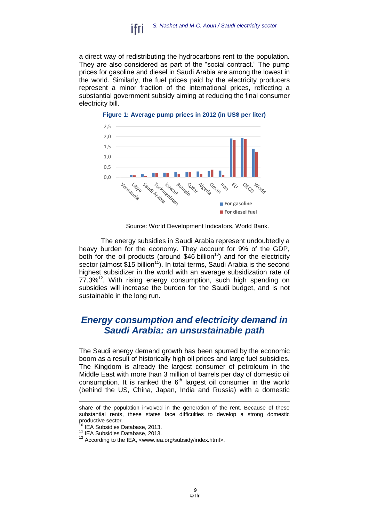

a direct way of redistributing the hydrocarbons rent to the population. They are also considered as part of the "social contract." The pump prices for gasoline and diesel in Saudi Arabia are among the lowest in the world. Similarly, the fuel prices paid by the electricity producers represent a minor fraction of the international prices, reflecting a substantial government subsidy aiming at reducing the final consumer electricity bill.



**Figure 1: Average pump prices in 2012 (in US\$ per liter)**

Source: World Development Indicators, World Bank.

The energy subsidies in Saudi Arabia represent undoubtedly a heavy burden for the economy. They account for 9% of the GDP, both for the oil products (around  $$46$  billion<sup>10</sup>) and for the electricity sector (almost  $$15$  billion<sup>11</sup>). In total terms, Saudi Arabia is the second highest subsidizer in the world with an average subsidization rate of  $77.3\%$ <sup>12</sup>. With rising energy consumption, such high spending on subsidies will increase the burden for the Saudi budget, and is not sustainable in the long run**.**

### <span id="page-8-0"></span>*Energy consumption and electricity demand in Saudi Arabia: an unsustainable path*

The Saudi energy demand growth has been spurred by the economic boom as a result of historically high oil prices and large fuel subsidies. The Kingdom is already the largest consumer of petroleum in the Middle East with more than 3 million of barrels per day of domestic oil consumption. It is ranked the  $6<sup>th</sup>$  largest oil consumer in the world (behind the US, China, Japan, India and Russia) with a domestic

-

share of the population involved in the generation of the rent. Because of these substantial rents, these states face difficulties to develop a strong domestic productive sector.

IEA Subsidies Database, 2013.

<sup>11</sup> IEA Subsidies Database, 2013.

<sup>12</sup> According to the IEA, <www.iea.org/subsidy/index.html>.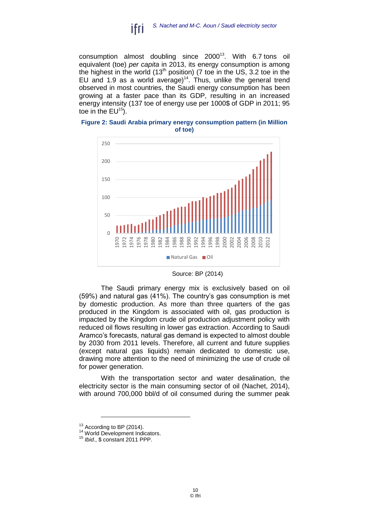

consumption almost doubling since  $2000^{13}$ . With 6.7 tons oil equivalent (toe) *per capita* in 2013, its energy consumption is among the highest in the world  $(13<sup>th</sup>$  position) (7 toe in the US, 3.2 toe in the EU and 1.9 as a world average)<sup>14</sup>. Thus, unlike the general trend observed in most countries, the Saudi energy consumption has been growing at a faster pace than its GDP, resulting in an increased energy intensity (137 toe of energy use per 1000\$ of GDP in 2011; 95 toe in the  $EU^{15}$ ).



**Figure 2: Saudi Arabia primary energy consumption pattern (in Million of toe)**

Source: BP (2014)

The Saudi primary energy mix is exclusively based on oil (59%) and natural gas (41%). The country's gas consumption is met by domestic production. As more than three quarters of the gas produced in the Kingdom is associated with oil, gas production is impacted by the Kingdom crude oil production adjustment policy with reduced oil flows resulting in lower gas extraction. According to Saudi Aramco's forecasts, natural gas demand is expected to almost double by 2030 from 2011 levels. Therefore, all current and future supplies (except natural gas liquids) remain dedicated to domestic use, drawing more attention to the need of minimizing the use of crude oil for power generation.

With the transportation sector and water desalination, the electricity sector is the main consuming sector of oil (Nachet, 2014), with around 700,000 bbl/d of oil consumed during the summer peak

 $\overline{a}$ 

 $13$  According to BP (2014).

<sup>&</sup>lt;sup>14</sup> World Development Indicators.

<sup>15</sup> *Ibid*., \$ constant 2011 PPP.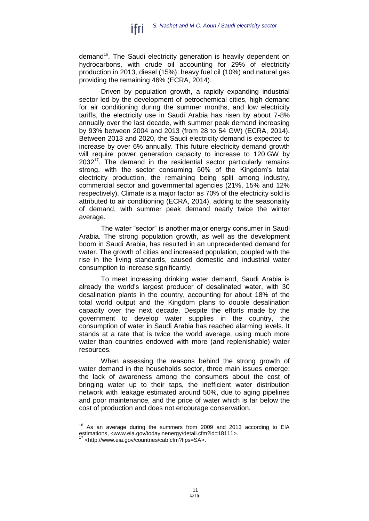

demand<sup>16</sup>. The Saudi electricity generation is heavily dependent on hydrocarbons, with crude oil accounting for 29% of electricity production in 2013, diesel (15%), heavy fuel oil (10%) and natural gas providing the remaining 46% (ECRA, 2014).

Driven by population growth, a rapidly expanding industrial sector led by the development of petrochemical cities, high demand for air conditioning during the summer months, and low electricity tariffs, the electricity use in Saudi Arabia has risen by about 7-8% annually over the last decade, with summer peak demand increasing by 93% between 2004 and 2013 (from 28 to 54 GW) (ECRA, 2014). Between 2013 and 2020, the Saudi electricity demand is expected to increase by over 6% annually. This future electricity demand growth will require power generation capacity to increase to 120 GW by  $2032<sup>17</sup>$ . The demand in the residential sector particularly remains strong, with the sector consuming 50% of the Kingdom's total electricity production, the remaining being split among industry, commercial sector and governmental agencies (21%, 15% and 12% respectively). Climate is a major factor as 70% of the electricity sold is attributed to air conditioning (ECRA, 2014), adding to the seasonality of demand, with summer peak demand nearly twice the winter average.

The water "sector" is another major energy consumer in Saudi Arabia. The strong population growth, as well as the development boom in Saudi Arabia, has resulted in an unprecedented demand for water. The growth of cities and increased population, coupled with the rise in the living standards, caused domestic and industrial water consumption to increase significantly.

To meet increasing drinking water demand, Saudi Arabia is already the world's largest producer of desalinated water, with 30 desalination plants in the country, accounting for about 18% of the total world output and the Kingdom plans to double desalination capacity over the next decade. Despite the efforts made by the government to develop water supplies in the country, the consumption of water in Saudi Arabia has reached alarming levels. It stands at a rate that is twice the world average, using much more water than countries endowed with more (and replenishable) water resources.

When assessing the reasons behind the strong growth of water demand in the households sector, three main issues emerge: the lack of awareness among the consumers about the cost of bringing water up to their taps, the inefficient water distribution network with leakage estimated around 50%, due to aging pipelines and poor maintenance, and the price of water which is far below the cost of production and does not encourage conservation.

 $\overline{a}$ 

 $16$  As an average during the summers from 2009 and 2013 according to EIA estimations, [<www.eia.gov/todayinenergy/detail.cfm?id=18111>](http://www.eia.gov/todayinenergy/detail.cfm?id=18111).

[<sup>&</sup>lt;http://www.eia.gov/countries/cab.cfm?fips=SA>](http://www.eia.gov/countries/cab.cfm?fips=SA).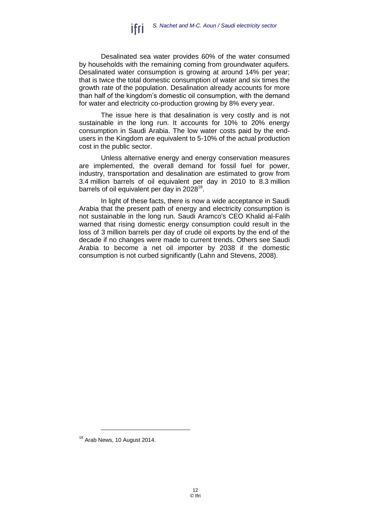

Desalinated sea water provides 60% of the water consumed by households with the remaining coming from groundwater aquifers. Desalinated water consumption is growing at around 14% per year; that is twice the total domestic consumption of water and six times the growth rate of the population. Desalination already accounts for more than half of the kingdom's domestic oil consumption, with the demand for water and electricity co-production growing by 8% every year.

The issue here is that desalination is very costly and is not sustainable in the long run. It accounts for 10% to 20% energy consumption in Saudi Arabia. The low water costs paid by the endusers in the Kingdom are equivalent to 5-10% of the actual production cost in the public sector.

Unless alternative energy and energy conservation measures are implemented, the overall demand for fossil fuel for power, industry, transportation and desalination are estimated to grow from 3.4 million barrels of oil equivalent per day in 2010 to 8.3 million barrels of oil equivalent per day in 2028<sup>18</sup>.

In light of these facts, there is now a wide acceptance in Saudi Arabia that the present path of energy and electricity consumption is not sustainable in the long run. Saudi Aramco's CEO Khalid al-Falih warned that rising domestic energy consumption could result in the loss of 3 million barrels per day of crude oil exports by the end of the decade if no changes were made to current trends. Others see Saudi Arabia to become a net oil importer by 2038 if the domestic consumption is not curbed significantly (Lahn and Stevens, 2008).

<sup>&</sup>lt;sup>18</sup> Arab News, 10 August 2014.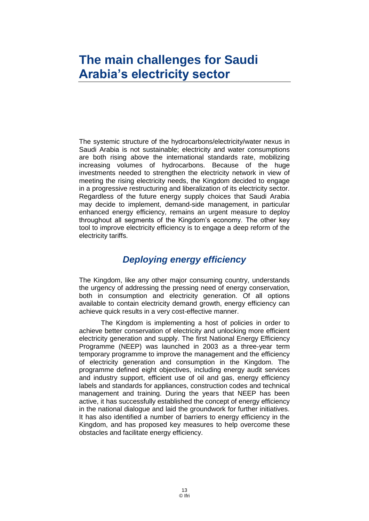## <span id="page-12-0"></span>**The main challenges for Saudi Arabia's electricity sector**

The systemic structure of the hydrocarbons/electricity/water nexus in Saudi Arabia is not sustainable; electricity and water consumptions are both rising above the international standards rate, mobilizing increasing volumes of hydrocarbons. Because of the huge investments needed to strengthen the electricity network in view of meeting the rising electricity needs, the Kingdom decided to engage in a progressive restructuring and liberalization of its electricity sector. Regardless of the future energy supply choices that Saudi Arabia may decide to implement, demand-side management, in particular enhanced energy efficiency, remains an urgent measure to deploy throughout all segments of the Kingdom's economy. The other key tool to improve electricity efficiency is to engage a deep reform of the electricity tariffs.

### *Deploying energy efficiency*

<span id="page-12-1"></span>The Kingdom, like any other major consuming country, understands the urgency of addressing the pressing need of energy conservation, both in consumption and electricity generation. Of all options available to contain electricity demand growth, energy efficiency can achieve quick results in a very cost-effective manner.

The Kingdom is implementing a host of policies in order to achieve better conservation of electricity and unlocking more efficient electricity generation and supply. The first National Energy Efficiency Programme (NEEP) was launched in 2003 as a three-year term temporary programme to improve the management and the efficiency of electricity generation and consumption in the Kingdom. The programme defined eight objectives, including energy audit services and industry support, efficient use of oil and gas, energy efficiency labels and standards for appliances, construction codes and technical management and training. During the years that NEEP has been active, it has successfully established the concept of energy efficiency in the national dialogue and laid the groundwork for further initiatives. It has also identified a number of barriers to energy efficiency in the Kingdom, and has proposed key measures to help overcome these obstacles and facilitate energy efficiency.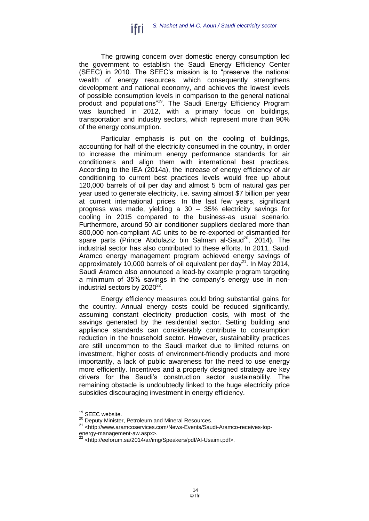

The growing concern over domestic energy consumption led the government to establish the Saudi Energy Efficiency Center (SEEC) in 2010. The SEEC's mission is to "preserve the national wealth of energy resources, which consequently strengthens development and national economy, and achieves the lowest levels of possible consumption levels in comparison to the general national product and populations"<sup>19</sup>. The Saudi Energy Efficiency Program was launched in 2012, with a primary focus on buildings, transportation and industry sectors, which represent more than 90% of the energy consumption.

Particular emphasis is put on the cooling of buildings, accounting for half of the electricity consumed in the country, in order to increase the minimum energy performance standards for air conditioners and align them with international best practices. According to the IEA (2014a), the increase of energy efficiency of air conditioning to current best practices levels would free up about 120,000 barrels of oil per day and almost 5 bcm of natural gas per year used to generate electricity, i.e. saving almost \$7 billion per year at current international prices. In the last few years, significant progress was made, yielding a 30 – 35% electricity savings for cooling in 2015 compared to the business-as usual scenario. Furthermore, around 50 air conditioner suppliers declared more than 800,000 non-compliant AC units to be re-exported or dismantled for spare parts (Prince Abdulaziz bin Salman al-Saud<sup>20</sup>, 2014). The industrial sector has also contributed to these efforts. In 2011, Saudi Aramco energy management program achieved energy savings of approximately 10,000 barrels of oil equivalent per day<sup>21</sup>. In May 2014, Saudi Aramco also announced a lead-by example program targeting a minimum of 35% savings in the company's energy use in nonindustrial sectors by  $2020^{22}$ .

Energy efficiency measures could bring substantial gains for the country. Annual energy costs could be reduced significantly, assuming constant electricity production costs, with most of the savings generated by the residential sector. Setting building and appliance standards can considerably contribute to consumption reduction in the household sector. However, sustainability practices are still uncommon to the Saudi market due to limited returns on investment, higher costs of environment-friendly products and more importantly, a lack of public awareness for the need to use energy more efficiently. Incentives and a properly designed strategy are key drivers for the Saudi's construction sector sustainability. The remaining obstacle is undoubtedly linked to the huge electricity price subsidies discouraging investment in energy efficiency.

 $\overline{a}$ <sup>19</sup> SEEC website.

<sup>20</sup> Deputy Minister, Petroleum and Mineral Resources.

<sup>&</sup>lt;sup>21</sup> [<http://www.aramcoservices.com/News-Events/Saudi-Aramco-receives-top-](http://www.aramcoservices.com/News-Events/Saudi-Aramco-receives-top-energy-management-aw.aspx)

[energy-management-aw.aspx>](http://www.aramcoservices.com/News-Events/Saudi-Aramco-receives-top-energy-management-aw.aspx). [<http://eeforum.sa/2014/ar/img/Speakers/pdf/Al-Usaimi.pdf>](http://eeforum.sa/2014/ar/img/Speakers/pdf/Al-Usaimi.pdf).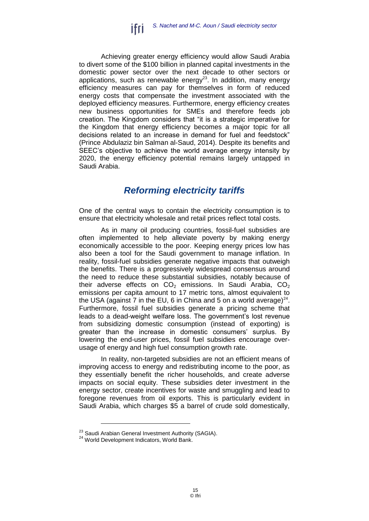

Achieving greater energy efficiency would allow Saudi Arabia to divert some of the \$100 billion in planned capital investments in the domestic power sector over the next decade to other sectors or applications, such as renewable energy<sup>23</sup>. In addition, many energy efficiency measures can pay for themselves in form of reduced energy costs that compensate the investment associated with the deployed efficiency measures. Furthermore, energy efficiency creates new business opportunities for SMEs and therefore feeds job creation. The Kingdom considers that "it is a strategic imperative for the Kingdom that energy efficiency becomes a major topic for all decisions related to an increase in demand for fuel and feedstock" (Prince Abdulaziz bin Salman al-Saud, 2014). Despite its benefits and SEEC's objective to achieve the world average energy intensity by 2020, the energy efficiency potential remains largely untapped in Saudi Arabia.

### *Reforming electricity tariffs*

<span id="page-14-0"></span>One of the central ways to contain the electricity consumption is to ensure that electricity wholesale and retail prices reflect total costs.

As in many oil producing countries, fossil-fuel subsidies are often implemented to help alleviate poverty by making energy economically accessible to the poor. Keeping energy prices low has also been a tool for the Saudi government to manage inflation. In reality, fossil-fuel subsidies generate negative impacts that outweigh the benefits. There is a progressively widespread consensus around the need to reduce these substantial subsidies, notably because of their adverse effects on  $CO<sub>2</sub>$  emissions. In Saudi Arabia,  $CO<sub>2</sub>$ emissions per capita amount to 17 metric tons, almost equivalent to the USA (against 7 in the EU, 6 in China and 5 on a world average) $^{24}$ . Furthermore, fossil fuel subsidies generate a pricing scheme that leads to a dead-weight welfare loss. The government's lost revenue from subsidizing domestic consumption (instead of exporting) is greater than the increase in domestic consumers' surplus. By lowering the end-user prices, fossil fuel subsidies encourage overusage of energy and high fuel consumption growth rate.

In reality, non-targeted subsidies are not an efficient means of improving access to energy and redistributing income to the poor, as they essentially benefit the richer households, and create adverse impacts on social equity. These subsidies deter investment in the energy sector, create incentives for waste and smuggling and lead to foregone revenues from oil exports. This is particularly evident in Saudi Arabia, which charges \$5 a barrel of crude sold domestically,

<sup>&</sup>lt;sup>23</sup> Saudi Arabian General Investment Authority (SAGIA).

<sup>&</sup>lt;sup>24</sup> World Development Indicators, World Bank.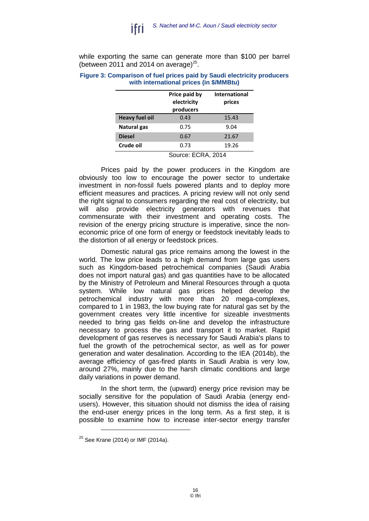

while exporting the same can generate more than \$100 per barrel (between 2011 and 2014 on average) $^{25}$ .

#### **Figure 3: Comparison of fuel prices paid by Saudi electricity producers with international prices (in \$/MMBtu)**

| producers | prices                |
|-----------|-----------------------|
| 0.43      | 15.43                 |
| 0.75      | 9.04                  |
| 0.67      | 21.67                 |
| 0.73      | 19.26                 |
|           | electricity<br>∽<br>. |

Source: ECRA, 2014

Prices paid by the power producers in the Kingdom are obviously too low to encourage the power sector to undertake investment in non-fossil fuels powered plants and to deploy more efficient measures and practices. A pricing review will not only send the right signal to consumers regarding the real cost of electricity, but will also provide electricity generators with revenues that commensurate with their investment and operating costs. The revision of the energy pricing structure is imperative, since the noneconomic price of one form of energy or feedstock inevitably leads to the distortion of all energy or feedstock prices.

Domestic natural gas price remains among the lowest in the world. The low price leads to a high demand from large gas users such as Kingdom-based petrochemical companies (Saudi Arabia does not import natural gas) and gas quantities have to be allocated by the Ministry of Petroleum and Mineral Resources through a quota system. While low natural gas prices helped develop the petrochemical industry with more than 20 mega-complexes, compared to 1 in 1983, the low buying rate for natural gas set by the government creates very little incentive for sizeable investments needed to bring gas fields on-line and develop the infrastructure necessary to process the gas and transport it to market. Rapid development of gas reserves is necessary for Saudi Arabia's plans to fuel the growth of the petrochemical sector, as well as for power generation and water desalination. According to the IEA (2014b), the average efficiency of gas-fired plants in Saudi Arabia is very low, around 27%, mainly due to the harsh climatic conditions and large daily variations in power demand.

In the short term, the (upward) energy price revision may be socially sensitive for the population of Saudi Arabia (energy endusers). However, this situation should not dismiss the idea of raising the end-user energy prices in the long term. As a first step, it is possible to examine how to increase inter-sector energy transfer

<sup>25</sup> See Krane (2014) or IMF (2014a).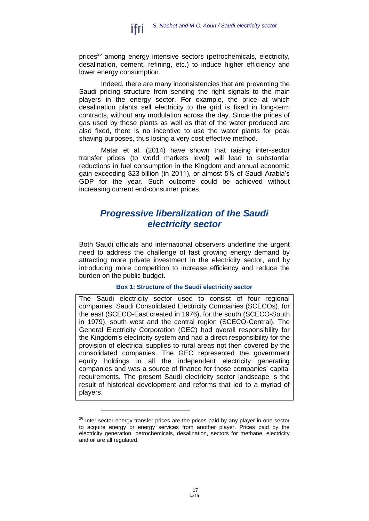

prices<sup>26</sup> among energy intensive sectors (petrochemicals, electricity, desalination, cement, refining, etc.) to induce higher efficiency and lower energy consumption.

Indeed, there are many inconsistencies that are preventing the Saudi pricing structure from sending the right signals to the main players in the energy sector. For example, the price at which desalination plants sell electricity to the grid is fixed in long-term contracts, without any modulation across the day. Since the prices of gas used by these plants as well as that of the water produced are also fixed, there is no incentive to use the water plants for peak shaving purposes, thus losing a very cost effective method.

Matar et al. (2014) have shown that raising inter-sector transfer prices (to world markets level) will lead to substantial reductions in fuel consumption in the Kingdom and annual economic gain exceeding \$23 billion (in 2011), or almost 5% of Saudi Arabia's GDP for the year. Such outcome could be achieved without increasing current end-consumer prices.

### <span id="page-16-0"></span>*Progressive liberalization of the Saudi electricity sector*

Both Saudi officials and international observers underline the urgent need to address the challenge of fast growing energy demand by attracting more private investment in the electricity sector, and by introducing more competition to increase efficiency and reduce the burden on the public budget.

#### **Box 1: Structure of the Saudi electricity sector**

The Saudi electricity sector used to consist of four regional companies, Saudi Consolidated Electricity Companies (SCECOs), for the east (SCECO-East created in 1976), for the south (SCECO-South in 1979), south west and the central region (SCECO-Central). The General Electricity Corporation (GEC) had overall responsibility for the Kingdom's electricity system and had a direct responsibility for the provision of electrical supplies to rural areas not then covered by the consolidated companies. The GEC represented the government equity holdings in all the independent electricity generating companies and was a source of finance for those companies' capital requirements. The present Saudi electricity sector landscape is the result of historical development and reforms that led to a myriad of players.

 $26$  Inter-sector energy transfer prices are the prices paid by any player in one sector to acquire energy or energy services from another player. Prices paid by the electricity generation, petrochemicals, desalination, sectors for methane, electricity and oil are all regulated.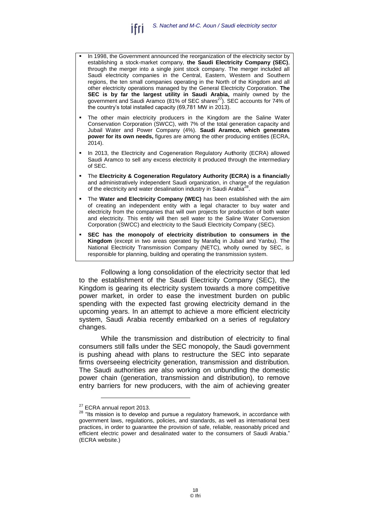

- In 1998, the Government announced the reorganization of the electricity sector by establishing a stock-market company, **the Saudi Electricity Company (SEC)**, through the merger into a single joint stock company. The merger included all Saudi electricity companies in the Central, Eastern, Western and Southern regions, the ten small companies operating in the North of the Kingdom and all other electricity operations managed by the General Electricity Corporation. **The SEC is by far the largest utility in Saudi Arabia,** mainly owned by the government and Saudi Aramco (81% of SEC shares*<sup>27</sup>*). SEC accounts for 74% of the country's total installed capacity (69,781 MW in 2013).
- The other main electricity producers in the Kingdom are the Saline Water Conservation Corporation (SWCC), with 7% of the total generation capacity and Jubail Water and Power Company (4%). **Saudi Aramco, which generates power for its own needs,** figures are among the other producing entities (ECRA, 2014).
- In 2013, the Electricity and Cogeneration Regulatory Au**t**hority (ECRA) allowed Saudi Aramco to sell any excess electricity it produced through the intermediary of SEC.
- The **Electricity & Cogeneration Regulatory Authority (ECRA) is a financiall**y and administratively independent Saudi organization, in charge of the regulation of the electricity and water desalination industry in Saudi Arabia*<sup>28</sup>* .
- The **Water and Electricity Company (WEC)** has been established with the aim of creating an independent entity with a legal character to buy water and electricity from the companies that will own projects for production of both water and electricity. This entity will then sell water to the Saline Water Conversion Corporation (SWCC) and electricity to the Saudi Electricity Company (SEC).
- **SEC has the monopoly of electricity distribution to consumers in the Kingdom** (except in two areas operated by Marafiq in Jubail and Yanbu). The National Electricity Transmission Company (NETC), wholly owned by SEC, is responsible for planning, building and operating the transmission system.

Following a long consolidation of the electricity sector that led to the establishment of the Saudi Electricity Company (SEC), the Kingdom is gearing its electricity system towards a more competitive power market, in order to ease the investment burden on public spending with the expected fast growing electricity demand in the upcoming years. In an attempt to achieve a more efficient electricity system, Saudi Arabia recently embarked on a series of regulatory changes.

While the transmission and distribution of electricity to final consumers still falls under the SEC monopoly, the Saudi government is pushing ahead with plans to restructure the SEC into separate firms overseeing electricity generation, transmission and distribution. The Saudi authorities are also working on unbundling the domestic power chain (generation, transmission and distribution), to remove entry barriers for new producers, with the aim of achieving greater

<sup>&</sup>lt;sup>27</sup> ECRA annual report 2013.

<sup>28 &</sup>quot;Its mission is to develop and pursue a regulatory framework, in accordance with government laws, regulations, policies, and standards, as well as international best practices, in order to guarantee the provision of safe, reliable, reasonably priced and efficient electric power and desalinated water to the consumers of Saudi Arabia." (ECRA website.)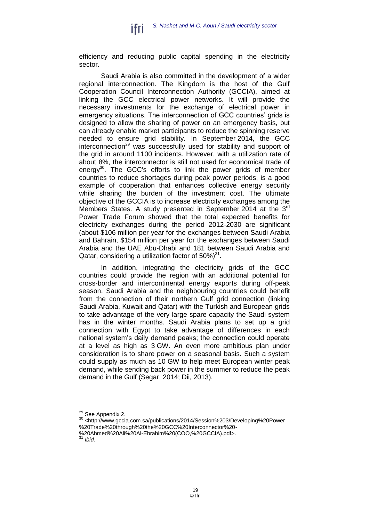

efficiency and reducing public capital spending in the electricity sector.

Saudi Arabia is also committed in the development of a wider regional interconnection. The Kingdom is the host of the Gulf Cooperation Council Interconnection Authority (GCCIA), aimed at linking the GCC electrical power networks. It will provide the necessary investments for the exchange of electrical power in emergency situations. The interconnection of GCC countries' grids is designed to allow the sharing of power on an emergency basis, but can already enable market participants to reduce the spinning reserve needed to ensure grid stability. In September 2014, the GCC interconnection<sup>29</sup> was successfully used for stability and support of the grid in around 1100 incidents. However, with a utilization rate of about 8%, the interconnector is still not used for economical trade of energy<sup>30</sup>. The GCC's efforts to link the power grids of member countries to reduce shortages during peak power periods, is a good example of cooperation that enhances collective energy security while sharing the burden of the investment cost. The ultimate objective of the GCCIA is to increase electricity exchanges among the Members States. A study presented in September 2014 at the 3<sup>rd</sup> Power Trade Forum showed that the total expected benefits for electricity exchanges during the period 2012-2030 are significant (about \$106 million per year for the exchanges between Saudi Arabia and Bahrain, \$154 million per year for the exchanges between Saudi Arabia and the UAE Abu-Dhabi and 181 between Saudi Arabia and Qatar, considering a utilization factor of  $50\%)^{31}$ .

In addition, integrating the electricity grids of the GCC countries could provide the region with an additional potential for cross-border and intercontinental energy exports during off-peak season. Saudi Arabia and the neighbouring countries could benefit from the connection of their northern Gulf grid connection (linking Saudi Arabia, Kuwait and Qatar) with the Turkish and European grids to take advantage of the very large spare capacity the Saudi system has in the winter months. Saudi Arabia plans to set up a grid connection with Egypt to take advantage of differences in each national system's daily demand peaks; the connection could operate at a level as high as 3 GW. An even more ambitious plan under consideration is to share power on a seasonal basis. Such a system could supply as much as 10 GW to help meet European winter peak demand, while sending back power in the summer to reduce the peak demand in the Gulf (Segar, 2014; Dii, 2013).

<span id="page-18-0"></span> $\overline{a}$ <sup>29</sup> See Appendix 2.

<sup>30</sup> [<http://www.gccia.com.sa/publications/2014/Session%203/Developing%20Power](http://www.gccia.com.sa/publications/2014/Session%203/Developing%20Power%20Trade%20through%20the%20GCC%20Interconnector%20-%20Ahmed%20Ali%20Al-Ebrahim%20(COO,%20GCCIA).pdf) [%20Trade%20through%20the%20GCC%20Interconnector%20-](http://www.gccia.com.sa/publications/2014/Session%203/Developing%20Power%20Trade%20through%20the%20GCC%20Interconnector%20-%20Ahmed%20Ali%20Al-Ebrahim%20(COO,%20GCCIA).pdf)

[<sup>%20</sup>Ahmed%20Ali%20Al-Ebrahim%20\(COO,%20GCCIA\).pdf>](http://www.gccia.com.sa/publications/2014/Session%203/Developing%20Power%20Trade%20through%20the%20GCC%20Interconnector%20-%20Ahmed%20Ali%20Al-Ebrahim%20(COO,%20GCCIA).pdf). <sup>31</sup> *Ibid*.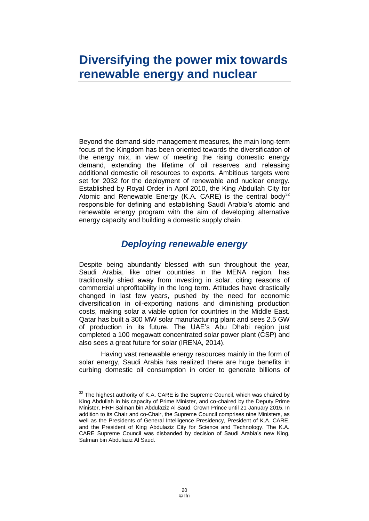## **Diversifying the power mix towards renewable energy and nuclear**

Beyond the demand-side management measures, the main long-term focus of the Kingdom has been oriented towards the diversification of the energy mix, in view of meeting the rising domestic energy demand, extending the lifetime of oil reserves and releasing additional domestic oil resources to exports. Ambitious targets were set for 2032 for the deployment of renewable and nuclear energy. Established by Royal Order in April 2010, the King Abdullah City for Atomic and Renewable Energy (K.A. CARE) is the central body<sup>32</sup> responsible for defining and establishing Saudi Arabia's atomic and renewable energy program with the aim of developing alternative energy capacity and building a domestic supply chain.

### *Deploying renewable energy*

<span id="page-19-0"></span>Despite being abundantly blessed with sun throughout the year, Saudi Arabia, like other countries in the MENA region, has traditionally shied away from investing in solar, citing reasons of commercial unprofitability in the long term. Attitudes have drastically changed in last few years, pushed by the need for economic diversification in oil-exporting nations and diminishing production costs, making solar a viable option for countries in the Middle East. Qatar has built a 300 MW solar manufacturing plant and sees 2.5 GW of production in its future. The UAE's Abu Dhabi region just completed a 100 megawatt concentrated solar power plant (CSP) and also sees a great future for solar (IRENA, 2014).

Having vast renewable energy resources mainly in the form of solar energy, Saudi Arabia has realized there are huge benefits in curbing domestic oil consumption in order to generate billions of

 $\overline{a}$ 

 $32$  The highest authority of K.A. CARE is the Supreme Council, which was chaired by King Abdullah in his capacity of Prime Minister, and co-chaired by the Deputy Prime Minister, HRH Salman bin Abdulaziz Al Saud, Crown Prince until 21 January 2015. In addition to its Chair and co-Chair, the Supreme Council comprises nine Ministers, as well as the Presidents of General Intelligence Presidency, President of K.A. CARE, and the President of King Abdulaziz City for Science and Technology. The K.A. CARE Supreme Council was disbanded by decision of Saudi Arabia's new King, Salman bin Abdulaziz Al Saud.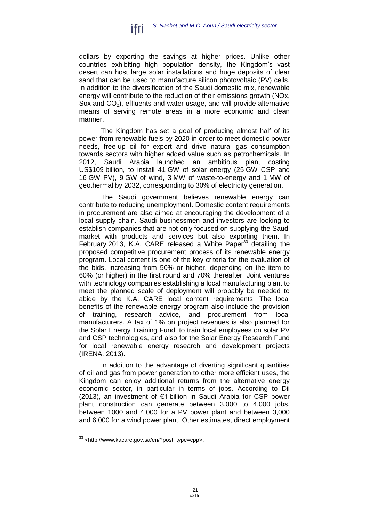

dollars by exporting the savings at higher prices. Unlike other countries exhibiting high population density, the Kingdom's vast desert can host large solar installations and huge deposits of clear sand that can be used to manufacture silicon photovoltaic (PV) cells. In addition to the diversification of the Saudi domestic mix, renewable energy will contribute to the reduction of their emissions growth (NOx, Sox and  $CO<sub>2</sub>$ ), effluents and water usage, and will provide alternative means of serving remote areas in a more economic and clean manner.

The Kingdom has set a goal of producing almost half of its power from renewable fuels by 2020 in order to meet domestic power needs, free-up oil for export and drive natural gas consumption towards sectors with higher added value such as petrochemicals. In 2012, Saudi Arabia launched an ambitious plan, costing US\$109 billion, to install 41 GW of solar energy (25 GW CSP and 16 GW PV), 9 GW of wind, 3 MW of waste-to-energy and 1 MW of geothermal by 2032, corresponding to 30% of electricity generation.

The Saudi government believes renewable energy can contribute to reducing unemployment. Domestic content requirements in procurement are also aimed at encouraging the development of a local supply chain. Saudi businessmen and investors are looking to establish companies that are not only focused on supplying the Saudi market with products and services but also exporting them. In February 2013, K.A. CARE released a White Paper<sup>33</sup> detailing the proposed competitive procurement process of its renewable energy program. Local content is one of the key criteria for the evaluation of the bids, increasing from 50% or higher, depending on the item to 60% (or higher) in the first round and 70% thereafter. Joint ventures with technology companies establishing a local manufacturing plant to meet the planned scale of deployment will probably be needed to abide by the K.A. CARE local content requirements. The local benefits of the renewable energy program also include the provision of training, research advice, and procurement from local manufacturers. A tax of 1% on project revenues is also planned for the Solar Energy Training Fund, to train local employees on solar PV and CSP technologies, and also for the Solar Energy Research Fund for local renewable energy research and development projects (IRENA, 2013).

In addition to the advantage of diverting significant quantities of oil and gas from power generation to other more efficient uses, the Kingdom can enjoy additional returns from the alternative energy economic sector, in particular in terms of jobs. According to Dii (2013), an investment of €1 billion in Saudi Arabia for CSP power plant construction can generate between 3,000 to 4,000 jobs, between 1000 and 4,000 for a PV power plant and between 3,000 and 6,000 for a wind power plant. Other estimates, direct employment

<sup>&</sup>lt;sup>33</sup> [<http://www.kacare.gov.sa/en/?post\\_type=cpp>](http://www.kacare.gov.sa/en/?post_type=cpp).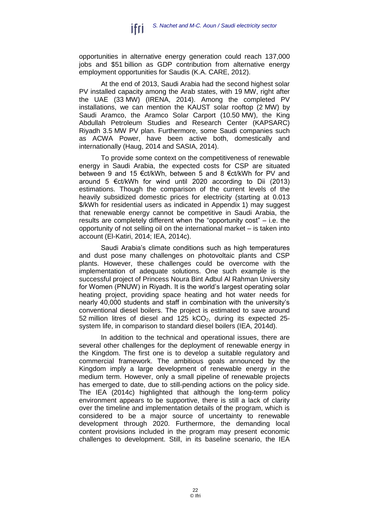

opportunities in alternative energy generation could reach 137,000 jobs and \$51 billion as GDP contribution from alternative energy employment opportunities for Saudis (K.A. CARE, 2012).

At the end of 2013, Saudi Arabia had the second highest solar PV installed capacity among the Arab states, with 19 MW, right after the UAE (33 MW) (IRENA, 2014). Among the completed PV installations, we can mention the KAUST solar rooftop (2 MW) by Saudi Aramco, the Aramco Solar Carport (10.50 MW), the King Abdullah Petroleum Studies and Research Center (KAPSARC) Riyadh 3.5 MW PV plan. Furthermore, some Saudi companies such as ACWA Power, have been active both, domestically and internationally (Haug, 2014 and SASIA, 2014).

To provide some context on the competitiveness of renewable energy in Saudi Arabia, the expected costs for CSP are situated between 9 and 15 €ct/kWh, between 5 and 8 €ct/kWh for PV and around 5 €ct/kWh for wind until 2020 according to Dii (2013) estimations. Though the comparison of the current levels of the heavily subsidized domestic prices for electricity (starting at 0.013 \$/kWh for residential users as indicated in Appendix 1) may suggest that renewable energy cannot be competitive in Saudi Arabia, the results are completely different when the "opportunity cost" – i.e. the opportunity of not selling oil on the international market – is taken into account (El-Katiri, 2014; IEA, 2014c).

Saudi Arabia's climate conditions such as high temperatures and dust pose many challenges on photovoltaic plants and CSP plants. However, these challenges could be overcome with the implementation of adequate solutions. One such example is the successful project of Princess Noura Bint Adbul Al Rahman University for Women (PNUW) in Riyadh. It is the world's largest operating solar heating project, providing space heating and hot water needs for nearly 40,000 students and staff in combination with the university's conventional diesel boilers. The project is estimated to save around 52 million litres of diesel and 125 kCO<sub>2</sub>, during its expected 25system life, in comparison to standard diesel boilers (IEA, 2014d).

In addition to the technical and operational issues, there are several other challenges for the deployment of renewable energy in the Kingdom. The first one is to develop a suitable regulatory and commercial framework. The ambitious goals announced by the Kingdom imply a large development of renewable energy in the medium term. However, only a small pipeline of renewable projects has emerged to date, due to still-pending actions on the policy side. The IEA (2014c) highlighted that although the long-term policy environment appears to be supportive, there is still a lack of clarity over the timeline and implementation details of the program, which is considered to be a major source of uncertainty to renewable development through 2020. Furthermore, the demanding local content provisions included in the program may present economic challenges to development. Still, in its baseline scenario, the IEA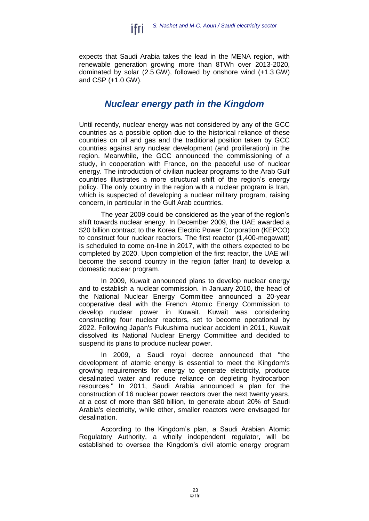

expects that Saudi Arabia takes the lead in the MENA region, with renewable generation growing more than 8TWh over 2013-2020, dominated by solar (2.5 GW), followed by onshore wind (+1.3 GW) and CSP (+1.0 GW).

### <span id="page-22-0"></span>*Nuclear energy path in the Kingdom*

Until recently, nuclear energy was not considered by any of the GCC countries as a possible option due to the historical reliance of these countries on oil and gas and the traditional position taken by GCC countries against any nuclear development (and proliferation) in the region. Meanwhile, the GCC announced the commissioning of a study, in cooperation with France, on the peaceful use of nuclear energy. The introduction of civilian nuclear programs to the Arab Gulf countries illustrates a more structural shift of the region's energy policy. The only country in the region with a nuclear program is Iran, which is suspected of developing a nuclear military program, raising concern, in particular in the Gulf Arab countries.

The year 2009 could be considered as the year of the region's shift towards nuclear energy. In December 2009, the UAE awarded a \$20 billion contract to the Korea Electric Power Corporation (KEPCO) to construct four nuclear reactors. The first reactor (1,400-megawatt) is scheduled to come on-line in 2017, with the others expected to be completed by 2020. Upon completion of the first reactor, the UAE will become the second country in the region (after Iran) to develop a domestic nuclear program.

In 2009, Kuwait announced plans to develop nuclear energy and to establish a nuclear commission. In January 2010, the head of the National Nuclear Energy Committee announced a 20-year cooperative deal with the French Atomic Energy Commission to develop nuclear power in Kuwait. Kuwait was considering constructing four nuclear reactors, set to become operational by 2022. Following Japan's Fukushima nuclear accident in 2011, Kuwait dissolved its National Nuclear Energy Committee and decided to suspend its plans to produce nuclear power.

In 2009, a Saudi royal decree announced that "the development of atomic energy is essential to meet the Kingdom's growing requirements for energy to generate electricity, produce desalinated water and reduce reliance on depleting hydrocarbon resources." In 2011, Saudi Arabia announced a plan for the construction of 16 nuclear power reactors over the next twenty years, at a cost of more than \$80 billion, to generate about 20% of Saudi Arabia's electricity, while other, smaller reactors were envisaged for desalination.

According to the Kingdom's plan, a Saudi Arabian Atomic Regulatory Authority, a wholly independent regulator, will be established to oversee the Kingdom's civil atomic energy program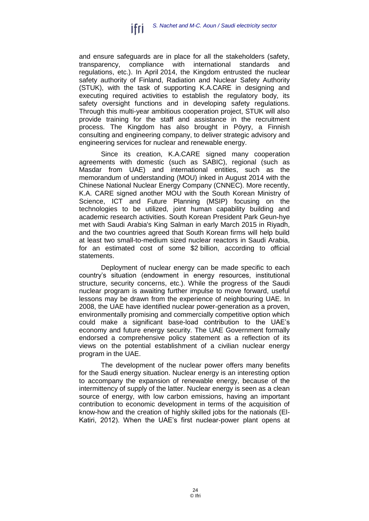

and ensure safeguards are in place for all the stakeholders (safety, transparency, compliance with international standards and regulations, etc.). In April 2014, the Kingdom entrusted the nuclear safety authority of Finland, Radiation and Nuclear Safety Authority (STUK), with the task of supporting K.A.CARE in designing and executing required activities to establish the regulatory body, its safety oversight functions and in developing safety regulations. Through this multi-year ambitious cooperation project, STUK will also provide training for the staff and assistance in the recruitment process. The Kingdom has also brought in Pöyry, a Finnish consulting and engineering company, to deliver strategic advisory and engineering services for nuclear and renewable energy.

Since its creation, K.A.CARE signed many cooperation agreements with domestic (such as SABIC), regional (such as Masdar from UAE) and international entities, such as the memorandum of understanding (MOU) inked in August 2014 with the Chinese National Nuclear Energy Company (CNNEC). More recently, K.A. CARE signed another MOU with the South Korean Ministry of Science, ICT and Future Planning (MSIP) focusing on the technologies to be utilized, joint human capability building and academic research activities. South Korean President Park Geun-hye met with Saudi Arabia's King Salman in early March 2015 in Riyadh, and the two countries agreed that South Korean firms will help build at least two small-to-medium sized nuclear reactors in Saudi Arabia, for an estimated cost of some \$2 billion, according to official statements.

Deployment of nuclear energy can be made specific to each country's situation (endowment in energy resources, institutional structure, security concerns, etc.). While the progress of the Saudi nuclear program is awaiting further impulse to move forward, useful lessons may be drawn from the experience of neighbouring UAE. In 2008, the UAE have identified nuclear power-generation as a proven, environmentally promising and commercially competitive option which could make a significant base-load contribution to the UAE's economy and future energy security. The UAE Government formally endorsed a comprehensive policy statement as a reflection of its views on the potential establishment of a civilian nuclear energy program in the UAE.

The development of the nuclear power offers many benefits for the Saudi energy situation. Nuclear energy is an interesting option to accompany the expansion of renewable energy, because of the intermittency of supply of the latter. Nuclear energy is seen as a clean source of energy, with low carbon emissions, having an important contribution to economic development in terms of the acquisition of know-how and the creation of highly skilled jobs for the nationals (El-Katiri, 2012). When the UAE's first nuclear-power plant opens at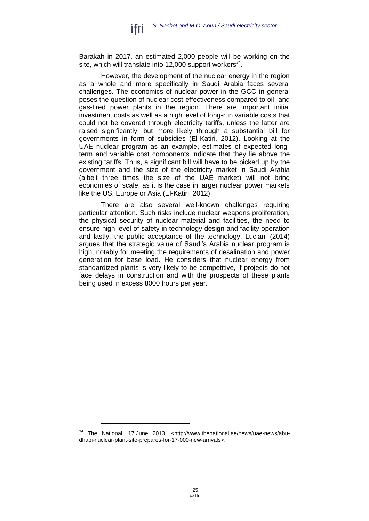Barakah in 2017, an estimated 2,000 people will be working on the site, which will translate into 12,000 support workers $34$ .

However, the development of the nuclear energy in the region as a whole and more specifically in Saudi Arabia faces several challenges. The economics of nuclear power in the GCC in general poses the question of nuclear cost-effectiveness compared to oil- and gas-fired power plants in the region. There are important initial investment costs as well as a high level of long-run variable costs that could not be covered through electricity tariffs, unless the latter are raised significantly, but more likely through a substantial bill for governments in form of subsidies (El-Katiri, 2012). Looking at the UAE nuclear program as an example, estimates of expected longterm and variable cost components indicate that they lie above the existing tariffs. Thus, a significant bill will have to be picked up by the government and the size of the electricity market in Saudi Arabia (albeit three times the size of the UAE market) will not bring economies of scale, as it is the case in larger nuclear power markets like the US, Europe or Asia (El-Katiri, 2012).

There are also several well-known challenges requiring particular attention. Such risks include nuclear weapons proliferation, the physical security of nuclear material and facilities, the need to ensure high level of safety in technology design and facility operation and lastly, the public acceptance of the technology. Luciani (2014) argues that the strategic value of Saudi's Arabia nuclear program is high, notably for meeting the requirements of desalination and power generation for base load. He considers that nuclear energy from standardized plants is very likely to be competitive, if projects do not face delays in construction and with the prospects of these plants being used in excess 8000 hours per year.

<sup>34</sup> The National, 17 June 2013, [<http://www.thenational.ae/news/uae-news/abu](http://www.thenational.ae/news/uae-news/abu-dhabi-nuclear-plant-site-prepares-for-17-000-new-arrivals)[dhabi-nuclear-plant-site-prepares-for-17-000-new-arrivals>](http://www.thenational.ae/news/uae-news/abu-dhabi-nuclear-plant-site-prepares-for-17-000-new-arrivals).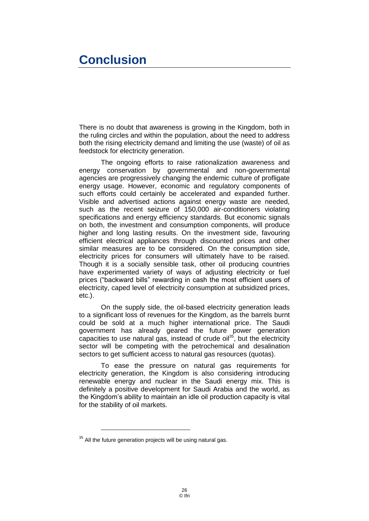## <span id="page-25-0"></span>**Conclusion**

There is no doubt that awareness is growing in the Kingdom, both in the ruling circles and within the population, about the need to address both the rising electricity demand and limiting the use (waste) of oil as feedstock for electricity generation.

The ongoing efforts to raise rationalization awareness and energy conservation by governmental and non-governmental agencies are progressively changing the endemic culture of profligate energy usage. However, economic and regulatory components of such efforts could certainly be accelerated and expanded further. Visible and advertised actions against energy waste are needed, such as the recent seizure of 150,000 air-conditioners violating specifications and energy efficiency standards. But economic signals on both, the investment and consumption components, will produce higher and long lasting results. On the investment side, favouring efficient electrical appliances through discounted prices and other similar measures are to be considered. On the consumption side, electricity prices for consumers will ultimately have to be raised. Though it is a socially sensible task, other oil producing countries have experimented variety of ways of adjusting electricity or fuel prices ("backward bills" rewarding in cash the most efficient users of electricity, caped level of electricity consumption at subsidized prices, etc.).

On the supply side, the oil-based electricity generation leads to a significant loss of revenues for the Kingdom, as the barrels burnt could be sold at a much higher international price. The Saudi government has already geared the future power generation capacities to use natural gas, instead of crude oil<sup>35</sup>, but the electricity sector will be competing with the petrochemical and desalination sectors to get sufficient access to natural gas resources (quotas).

To ease the pressure on natural gas requirements for electricity generation, the Kingdom is also considering introducing renewable energy and nuclear in the Saudi energy mix. This is definitely a positive development for Saudi Arabia and the world, as the Kingdom's ability to maintain an idle oil production capacity is vital for the stability of oil markets.

 $35$  All the future generation projects will be using natural gas.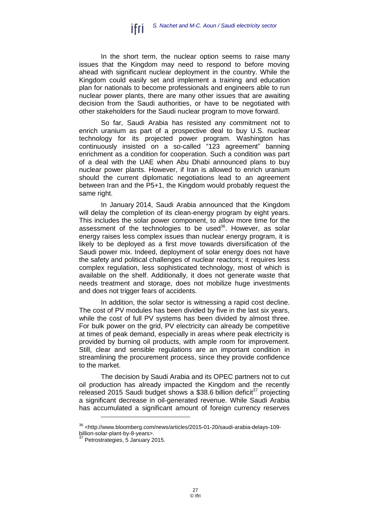

In the short term, the nuclear option seems to raise many issues that the Kingdom may need to respond to before moving ahead with significant nuclear deployment in the country. While the Kingdom could easily set and implement a training and education plan for nationals to become professionals and engineers able to run nuclear power plants, there are many other issues that are awaiting decision from the Saudi authorities, or have to be negotiated with other stakeholders for the Saudi nuclear program to move forward.

So far, Saudi Arabia has resisted any commitment not to enrich uranium as part of a prospective deal to buy U.S. nuclear technology for its projected power program. Washington has continuously insisted on a so-called "123 agreement" banning enrichment as a condition for cooperation. Such a condition was part of a deal with the UAE when Abu Dhabi announced plans to buy nuclear power plants. However, if Iran is allowed to enrich uranium should the current diplomatic negotiations lead to an agreement between Iran and the P5+1, the Kingdom would probably request the same right.

In January 2014, Saudi Arabia announced that the Kingdom will delay the completion of its clean-energy program by eight years. This includes the solar power component, to allow more time for the assessment of the technologies to be used<sup>36</sup>. However, as solar energy raises less complex issues than nuclear energy program, it is likely to be deployed as a first move towards diversification of the Saudi power mix. Indeed, deployment of solar energy does not have the safety and political challenges of nuclear reactors; it requires less complex regulation, less sophisticated technology, most of which is available on the shelf. Additionally, it does not generate waste that needs treatment and storage, does not mobilize huge investments and does not trigger fears of accidents.

In addition, the solar sector is witnessing a rapid cost decline. The cost of PV modules has been divided by five in the last six years, while the cost of full PV systems has been divided by almost three. For bulk power on the grid, PV electricity can already be competitive at times of peak demand, especially in areas where peak electricity is provided by burning oil products, with ample room for improvement. Still, clear and sensible regulations are an important condition in streamlining the procurement process, since they provide confidence to the market.

The decision by Saudi Arabia and its OPEC partners not to cut oil production has already impacted the Kingdom and the recently released 2015 Saudi budget shows a \$38.6 billion deficit<sup>37</sup> projecting a significant decrease in oil-generated revenue. While Saudi Arabia has accumulated a significant amount of foreign currency reserves

 $\overline{a}$ 

<sup>36</sup> [<http://www.bloomberg.com/news/articles/2015-01-20/saudi-arabia-delays-109-](http://www.bloomberg.com/news/articles/2015-01-20/saudi-arabia-delays-109-billion-solar-plant-by-8-years)

[billion-solar-plant-by-8-years>](http://www.bloomberg.com/news/articles/2015-01-20/saudi-arabia-delays-109-billion-solar-plant-by-8-years). Petrostrategies, 5 January 2015.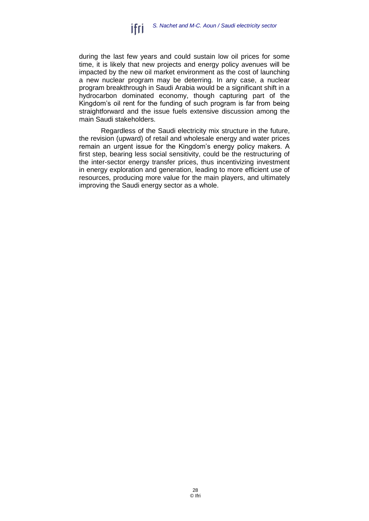

during the last few years and could sustain low oil prices for some time, it is likely that new projects and energy policy avenues will be impacted by the new oil market environment as the cost of launching a new nuclear program may be deterring. In any case, a nuclear program breakthrough in Saudi Arabia would be a significant shift in a hydrocarbon dominated economy, though capturing part of the Kingdom's oil rent for the funding of such program is far from being straightforward and the issue fuels extensive discussion among the main Saudi stakeholders.

Regardless of the Saudi electricity mix structure in the future, the revision (upward) of retail and wholesale energy and water prices remain an urgent issue for the Kingdom's energy policy makers. A first step, bearing less social sensitivity, could be the restructuring of the inter-sector energy transfer prices, thus incentivizing investment in energy exploration and generation, leading to more efficient use of resources, producing more value for the main players, and ultimately improving the Saudi energy sector as a whole.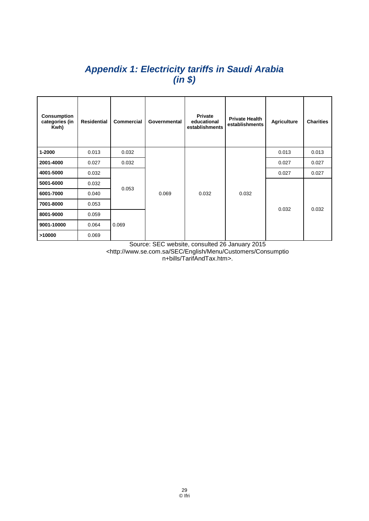## <span id="page-28-0"></span>*Appendix 1: Electricity tariffs in Saudi Arabia (in \$)*

| <b>Consumption</b><br>categories (in<br>Kwh) | <b>Residential</b> | <b>Commercial</b> | <b>Governmental</b> | <b>Private</b><br>educational<br>establishments | <b>Private Health</b><br>establishments | <b>Agriculture</b> | <b>Charities</b> |
|----------------------------------------------|--------------------|-------------------|---------------------|-------------------------------------------------|-----------------------------------------|--------------------|------------------|
| $1 - 2000$                                   | 0.013              | 0.032             | 0.069               | 0.032                                           | 0.032                                   | 0.013              | 0.013            |
| 2001-4000                                    | 0.027              | 0.032             |                     |                                                 |                                         | 0.027              | 0.027            |
| 4001-5000                                    | 0.032              | 0.053<br>0.069    |                     |                                                 |                                         | 0.027              | 0.027            |
| 5001-6000                                    | 0.032              |                   |                     |                                                 |                                         |                    |                  |
| 6001-7000                                    | 0.040              |                   |                     |                                                 |                                         | 0.032              | 0.032            |
| 7001-8000                                    | 0.053              |                   |                     |                                                 |                                         |                    |                  |
| 8001-9000                                    | 0.059              |                   |                     |                                                 |                                         |                    |                  |
| 9001-10000                                   | 0.064              |                   |                     |                                                 |                                         |                    |                  |
| >10000                                       | 0.069              |                   |                     |                                                 |                                         |                    |                  |

Source: SEC website, consulted 26 January 2015 [<http://www.se.com.sa/SEC/English/Menu/Customers/Consumptio](http://www.se.com.sa/SEC/English/Menu/Customers/Consumption+bills/TarifAndTax.htm) [n+bills/TarifAndTax.htm>](http://www.se.com.sa/SEC/English/Menu/Customers/Consumption+bills/TarifAndTax.htm).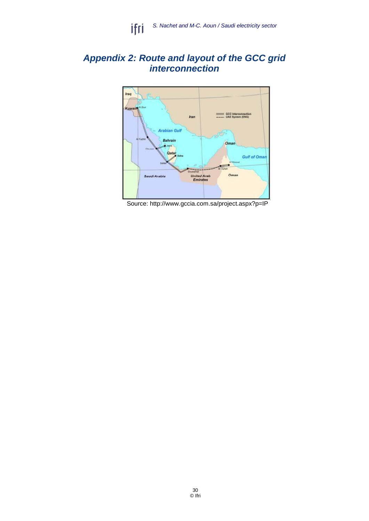

### <span id="page-29-0"></span>*Appendix 2: Route and layout of the GCC grid interconnection*



Source:<http://www.gccia.com.sa/project.aspx?p=IP>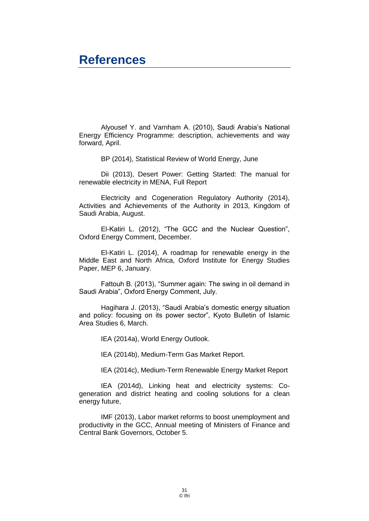## <span id="page-30-0"></span>**References**

Alyousef Y. and Varnham A. (2010), Saudi Arabia's National Energy Efficiency Programme: description, achievements and way forward, April.

BP (2014), Statistical Review of World Energy, June

Dii (2013), Desert Power: Getting Started: The manual for renewable electricity in MENA, Full Report

Electricity and Cogeneration Regulatory Authority (2014), Activities and Achievements of the Authority in 2013, Kingdom of Saudi Arabia, August.

El-Katiri L. (2012), "The GCC and the Nuclear Question", Oxford Energy Comment, December.

El-Katiri L. (2014), A roadmap for renewable energy in the Middle East and North Africa, Oxford Institute for Energy Studies Paper, MEP 6, January.

Fattouh B. (2013), "Summer again: The swing in oil demand in Saudi Arabia", Oxford Energy Comment, July.

Hagihara J. (2013), "Saudi Arabia's domestic energy situation and policy: focusing on its power sector", Kyoto Bulletin of Islamic Area Studies 6, March.

IEA (2014a), World Energy Outlook.

IEA (2014b), Medium-Term Gas Market Report.

IEA (2014c), Medium-Term Renewable Energy Market Report

IEA (2014d), Linking heat and electricity systems: Cogeneration and district heating and cooling solutions for a clean energy future,

IMF (2013), Labor market reforms to boost unemployment and productivity in the GCC, Annual meeting of Ministers of Finance and Central Bank Governors, October 5.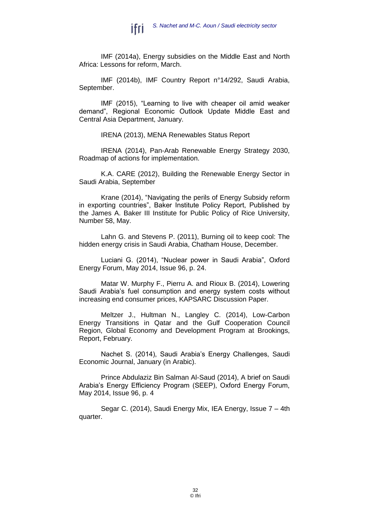

IMF (2014a), Energy subsidies on the Middle East and North Africa: Lessons for reform, March.

IMF (2014b), IMF Country Report n°14/292, Saudi Arabia, September.

IMF (2015), "Learning to live with cheaper oil amid weaker demand", Regional Economic Outlook Update Middle East and Central Asia Department, January.

IRENA (2013), MENA Renewables Status Report

IRENA (2014), Pan-Arab Renewable Energy Strategy 2030, Roadmap of actions for implementation.

K.A. CARE (2012), Building the Renewable Energy Sector in Saudi Arabia, September

Krane (2014), "Navigating the perils of Energy Subsidy reform in exporting countries", Baker Institute Policy Report, Published by the James A. Baker III Institute for Public Policy of Rice University, Number 58, May.

Lahn G. and Stevens P. (2011), Burning oil to keep cool: The hidden energy crisis in Saudi Arabia, Chatham House, December.

Luciani G. (2014), "Nuclear power in Saudi Arabia", Oxford Energy Forum, May 2014, Issue 96, p. 24.

Matar W. Murphy F., Pierru A. and Rioux B. (2014), Lowering Saudi Arabia's fuel consumption and energy system costs without increasing end consumer prices, KAPSARC Discussion Paper.

Meltzer J., [Hultman](http://www.brookings.edu/experts/hultmann) N., Langley C. (2014), Low-Carbon Energy Transitions in Qatar and the Gulf Cooperation Council Region, Global Economy and Development Program at Brookings, Report, February.

Nachet S. (2014), Saudi Arabia's Energy Challenges, Saudi Economic Journal, January (in Arabic).

Prince Abdulaziz Bin Salman Al-Saud (2014), A brief on Saudi Arabia's Energy Efficiency Program (SEEP), Oxford Energy Forum, May 2014, Issue 96, p. 4

Segar C. (2014), Saudi Energy Mix, IEA Energy, Issue 7 – 4th quarter.